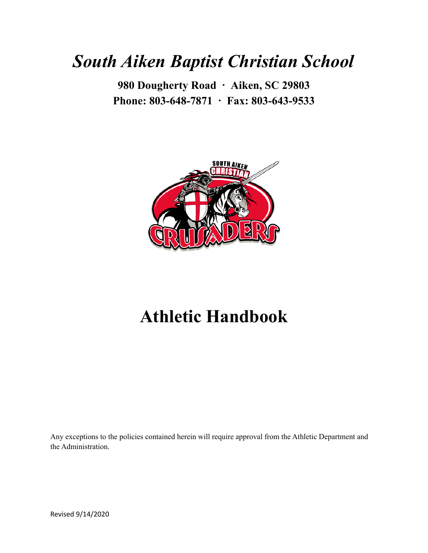# *South Aiken Baptist Christian School*

**980 Dougherty Road ∙ Aiken, SC 29803 Phone: 803-648-7871 ∙ Fax: 803-643-9533**



# **Athletic Handbook**

Any exceptions to the policies contained herein will require approval from the Athletic Department and the Administration.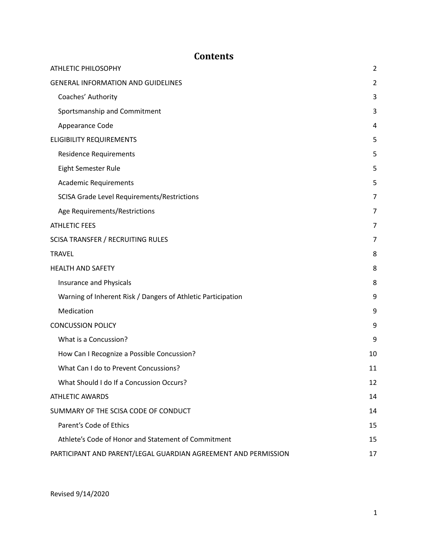# **Contents**

| <b>ATHLETIC PHILOSOPHY</b>                                     | $\overline{2}$ |
|----------------------------------------------------------------|----------------|
| <b>GENERAL INFORMATION AND GUIDELINES</b>                      | $\overline{2}$ |
| Coaches' Authority                                             | 3              |
| Sportsmanship and Commitment                                   | 3              |
| Appearance Code                                                | 4              |
| <b>ELIGIBILITY REQUIREMENTS</b>                                | 5              |
| <b>Residence Requirements</b>                                  | 5              |
| Eight Semester Rule                                            | 5              |
| <b>Academic Requirements</b>                                   | 5              |
| SCISA Grade Level Requirements/Restrictions                    | 7              |
| Age Requirements/Restrictions                                  | 7              |
| <b>ATHLETIC FEES</b>                                           | 7              |
| <b>SCISA TRANSFER / RECRUITING RULES</b>                       | 7              |
| <b>TRAVEL</b>                                                  | 8              |
| <b>HEALTH AND SAFETY</b>                                       | 8              |
| Insurance and Physicals                                        | 8              |
| Warning of Inherent Risk / Dangers of Athletic Participation   | 9              |
| Medication                                                     | 9              |
| <b>CONCUSSION POLICY</b>                                       | 9              |
| What is a Concussion?                                          | 9              |
| How Can I Recognize a Possible Concussion?                     | 10             |
| What Can I do to Prevent Concussions?                          | 11             |
| What Should I do If a Concussion Occurs?                       | 12             |
| <b>ATHLETIC AWARDS</b>                                         | 14             |
| SUMMARY OF THE SCISA CODE OF CONDUCT                           | 14             |
| Parent's Code of Ethics                                        | 15             |
| Athlete's Code of Honor and Statement of Commitment            | 15             |
| PARTICIPANT AND PARENT/LEGAL GUARDIAN AGREEMENT AND PERMISSION | 17             |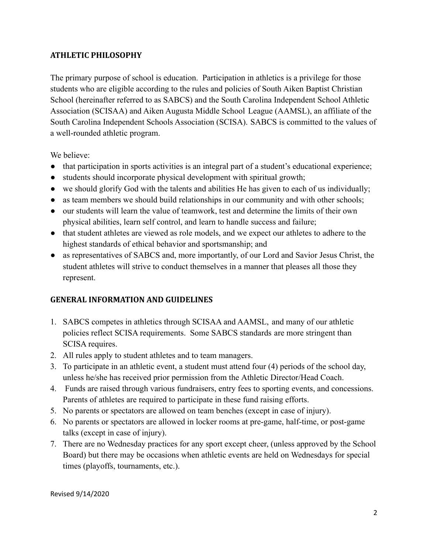#### <span id="page-2-0"></span>**ATHLETIC PHILOSOPHY**

The primary purpose of school is education. Participation in athletics is a privilege for those students who are eligible according to the rules and policies of South Aiken Baptist Christian School (hereinafter referred to as SABCS) and the South Carolina Independent School Athletic Association (SCISAA) and Aiken Augusta Middle School League (AAMSL), an affiliate of the South Carolina Independent Schools Association (SCISA). SABCS is committed to the values of a well-rounded athletic program.

We believe:

- that participation in sports activities is an integral part of a student's educational experience;
- students should incorporate physical development with spiritual growth;
- we should glorify God with the talents and abilities He has given to each of us individually;
- as team members we should build relationships in our community and with other schools;
- our students will learn the value of teamwork, test and determine the limits of their own physical abilities, learn self control, and learn to handle success and failure;
- that student athletes are viewed as role models, and we expect our athletes to adhere to the highest standards of ethical behavior and sportsmanship; and
- as representatives of SABCS and, more importantly, of our Lord and Savior Jesus Christ, the student athletes will strive to conduct themselves in a manner that pleases all those they represent.

### <span id="page-2-1"></span>**GENERAL INFORMATION AND GUIDELINES**

- 1. SABCS competes in athletics through SCISAA and AAMSL, and many of our athletic policies reflect SCISA requirements. Some SABCS standards are more stringent than SCISA requires.
- 2. All rules apply to student athletes and to team managers.
- 3. To participate in an athletic event, a student must attend four (4) periods of the school day, unless he/she has received prior permission from the Athletic Director/Head Coach.
- 4. Funds are raised through various fundraisers, entry fees to sporting events, and concessions. Parents of athletes are required to participate in these fund raising efforts.
- 5. No parents or spectators are allowed on team benches (except in case of injury).
- 6. No parents or spectators are allowed in locker rooms at pre-game, half-time, or post-game talks (except in case of injury).
- 7. There are no Wednesday practices for any sport except cheer, (unless approved by the School Board) but there may be occasions when athletic events are held on Wednesdays for special times (playoffs, tournaments, etc.).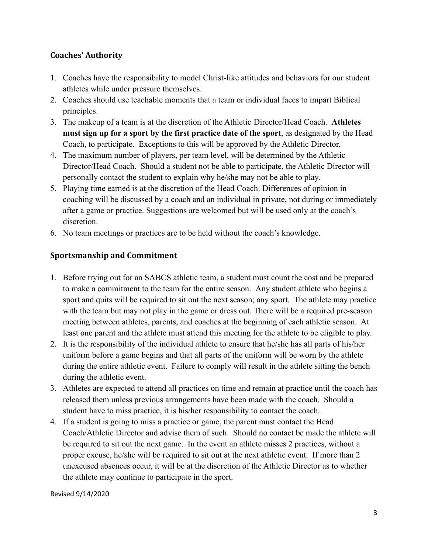#### <span id="page-3-0"></span>**Coaches' Authority**

- 1. Coaches have the responsibility to model Christ-like attitudes and behaviors for our student athletes while under pressure themselves.
- 2. Coaches should use teachable moments that a team or individual faces to impart Biblical principles.
- 3. The makeup of a team is at the discretion of the Athletic Director/Head Coach. **Athletes must sign up for a sport by the first practice date of the sport**, as designated by the Head Coach, to participate. Exceptions to this will be approved by the Athletic Director.
- 4. The maximum number of players, per team level, will be determined by the Athletic Director/Head Coach. Should a student not be able to participate, the Athletic Director will personally contact the student to explain why he/she may not be able to play.
- 5. Playing time earned is at the discretion of the Head Coach. Differences of opinion in coaching will be discussed by a coach and an individual in private, not during or immediately after a game or practice. Suggestions are welcomed but will be used only at the coach's discretion.
- 6. No team meetings or practices are to be held without the coach's knowledge.

# <span id="page-3-1"></span>**Sportsmanship and Commitment**

- 1. Before trying out for an SABCS athletic team, a student must count the cost and be prepared to make a commitment to the team for the entire season. Any student athlete who begins a sport and quits will be required to sit out the next season; any sport. The athlete may practice with the team but may not play in the game or dress out. There will be a required pre-season meeting between athletes, parents, and coaches at the beginning of each athletic season. At least one parent and the athlete must attend this meeting for the athlete to be eligible to play.
- 2. It is the responsibility of the individual athlete to ensure that he/she has all parts of his/her uniform before a game begins and that all parts of the uniform will be worn by the athlete during the entire athletic event. Failure to comply will result in the athlete sitting the bench during the athletic event.
- 3. Athletes are expected to attend all practices on time and remain at practice until the coach has released them unless previous arrangements have been made with the coach. Should a student have to miss practice, it is his/her responsibility to contact the coach.
- 4. If a student is going to miss a practice or game, the parent must contact the Head Coach/Athletic Director and advise them of such. Should no contact be made the athlete will be required to sit out the next game. In the event an athlete misses 2 practices, without a proper excuse, he/she will be required to sit out at the next athletic event. If more than 2 unexcused absences occur, it will be at the discretion of the Athletic Director as to whether the athlete may continue to participate in the sport.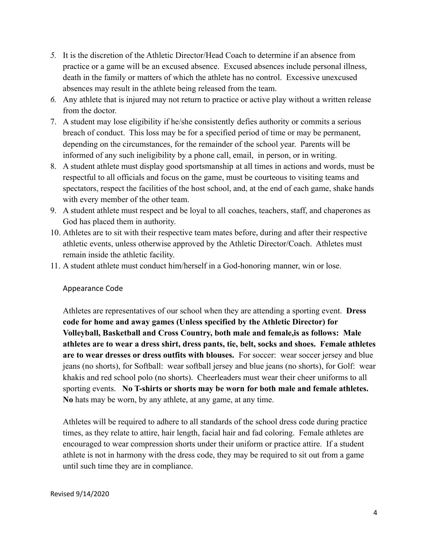- *5.* It is the discretion of the Athletic Director/Head Coach to determine if an absence from practice or a game will be an excused absence. Excused absences include personal illness, death in the family or matters of which the athlete has no control. Excessive unexcused absences may result in the athlete being released from the team.
- *6.* Any athlete that is injured may not return to practice or active play without a written release from the doctor.
- 7. A student may lose eligibility if he/she consistently defies authority or commits a serious breach of conduct. This loss may be for a specified period of time or may be permanent, depending on the circumstances, for the remainder of the school year. Parents will be informed of any such ineligibility by a phone call, email, in person, or in writing.
- 8. A student athlete must display good sportsmanship at all times in actions and words, must be respectful to all officials and focus on the game, must be courteous to visiting teams and spectators, respect the facilities of the host school, and, at the end of each game, shake hands with every member of the other team.
- 9. A student athlete must respect and be loyal to all coaches, teachers, staff, and chaperones as God has placed them in authority.
- 10. Athletes are to sit with their respective team mates before, during and after their respective athletic events, unless otherwise approved by the Athletic Director/Coach. Athletes must remain inside the athletic facility.
- 11. A student athlete must conduct him/herself in a God-honoring manner, win or lose.

#### <span id="page-4-0"></span>Appearance Code

Athletes are representatives of our school when they are attending a sporting event. **Dress code for home and away games (Unless specified by the Athletic Director) for Volleyball, Basketball and Cross Country, both male and female,is as follows: Male athletes are to wear a dress shirt, dress pants, tie, belt, socks and shoes. Female athletes are to wear dresses or dress outfits with blouses.** For soccer: wear soccer jersey and blue jeans (no shorts), for Softball: wear softball jersey and blue jeans (no shorts), for Golf: wear khakis and red school polo (no shorts). Cheerleaders must wear their cheer uniforms to all sporting events. **No T-shirts or shorts may be worn for both male and female athletes. No** hats may be worn, by any athlete, at any game, at any time.

Athletes will be required to adhere to all standards of the school dress code during practice times, as they relate to attire, hair length, facial hair and fad coloring. Female athletes are encouraged to wear compression shorts under their uniform or practice attire. If a student athlete is not in harmony with the dress code, they may be required to sit out from a game until such time they are in compliance.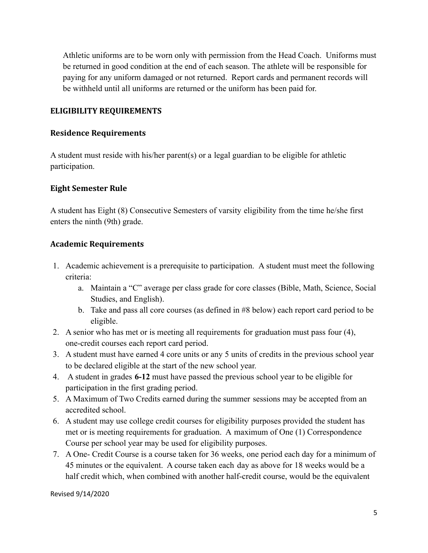Athletic uniforms are to be worn only with permission from the Head Coach. Uniforms must be returned in good condition at the end of each season. The athlete will be responsible for paying for any uniform damaged or not returned. Report cards and permanent records will be withheld until all uniforms are returned or the uniform has been paid for.

#### <span id="page-5-0"></span>**ELIGIBILITY REQUIREMENTS**

#### <span id="page-5-1"></span>**Residence Requirements**

A student must reside with his/her parent(s) or a legal guardian to be eligible for athletic participation.

#### <span id="page-5-2"></span>**Eight Semester Rule**

A student has Eight (8) Consecutive Semesters of varsity eligibility from the time he/she first enters the ninth (9th) grade.

#### <span id="page-5-3"></span>**Academic Requirements**

- 1. Academic achievement is a prerequisite to participation. A student must meet the following criteria:
	- a. Maintain a "C" average per class grade for core classes (Bible, Math, Science, Social Studies, and English).
	- b. Take and pass all core courses (as defined in #8 below) each report card period to be eligible.
- 2. A senior who has met or is meeting all requirements for graduation must pass four (4), one-credit courses each report card period.
- 3. A student must have earned 4 core units or any 5 units of credits in the previous school year to be declared eligible at the start of the new school year.
- 4. A student in grades **6-12** must have passed the previous school year to be eligible for participation in the first grading period.
- 5. A Maximum of Two Credits earned during the summer sessions may be accepted from an accredited school.
- 6. A student may use college credit courses for eligibility purposes provided the student has met or is meeting requirements for graduation. A maximum of One (1) Correspondence Course per school year may be used for eligibility purposes.
- 7. A One- Credit Course is a course taken for 36 weeks, one period each day for a minimum of 45 minutes or the equivalent. A course taken each day as above for 18 weeks would be a half credit which, when combined with another half-credit course, would be the equivalent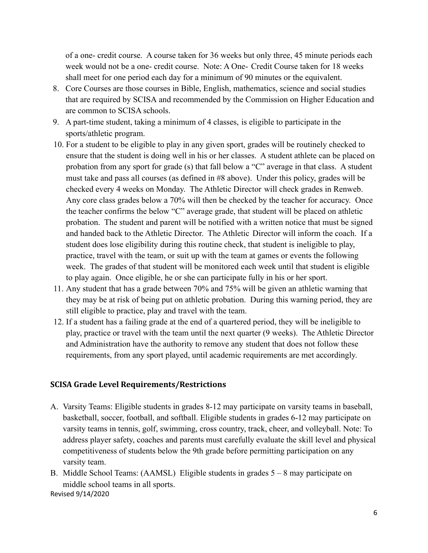of a one- credit course. A course taken for 36 weeks but only three, 45 minute periods each week would not be a one- credit course. Note: A One- Credit Course taken for 18 weeks shall meet for one period each day for a minimum of 90 minutes or the equivalent.

- 8. Core Courses are those courses in Bible, English, mathematics, science and social studies that are required by SCISA and recommended by the Commission on Higher Education and are common to SCISA schools.
- 9. A part-time student, taking a minimum of 4 classes, is eligible to participate in the sports/athletic program.
- 10. For a student to be eligible to play in any given sport, grades will be routinely checked to ensure that the student is doing well in his or her classes. A student athlete can be placed on probation from any sport for grade (s) that fall below a "C" average in that class. A student must take and pass all courses (as defined in #8 above). Under this policy, grades will be checked every 4 weeks on Monday. The Athletic Director will check grades in Renweb. Any core class grades below a 70% will then be checked by the teacher for accuracy. Once the teacher confirms the below "C" average grade, that student will be placed on athletic probation. The student and parent will be notified with a written notice that must be signed and handed back to the Athletic Director. The Athletic Director will inform the coach. If a student does lose eligibility during this routine check, that student is ineligible to play, practice, travel with the team, or suit up with the team at games or events the following week. The grades of that student will be monitored each week until that student is eligible to play again. Once eligible, he or she can participate fully in his or her sport.
- 11. Any student that has a grade between 70% and 75% will be given an athletic warning that they may be at risk of being put on athletic probation. During this warning period, they are still eligible to practice, play and travel with the team.
- 12. If a student has a failing grade at the end of a quartered period, they will be ineligible to play, practice or travel with the team until the next quarter (9 weeks). The Athletic Director and Administration have the authority to remove any student that does not follow these requirements, from any sport played, until academic requirements are met accordingly.

#### <span id="page-6-0"></span>**SCISA Grade Level Requirements/Restrictions**

- A. Varsity Teams: Eligible students in grades 8-12 may participate on varsity teams in baseball, basketball, soccer, football, and softball. Eligible students in grades 6-12 may participate on varsity teams in tennis, golf, swimming, cross country, track, cheer, and volleyball. Note: To address player safety, coaches and parents must carefully evaluate the skill level and physical competitiveness of students below the 9th grade before permitting participation on any varsity team.
- B. Middle School Teams: (AAMSL) Eligible students in grades 5 8 may participate on middle school teams in all sports.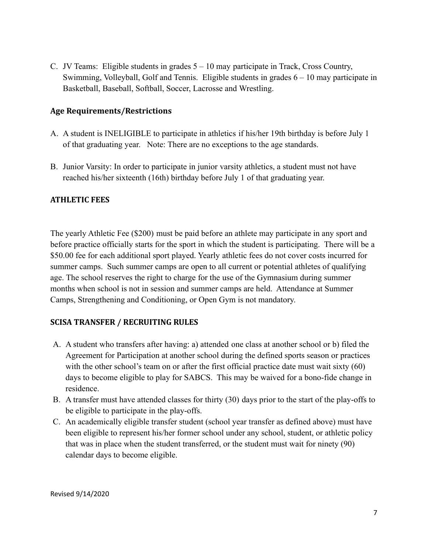C. JV Teams: Eligible students in grades 5 – 10 may participate in Track, Cross Country, Swimming, Volleyball, Golf and Tennis. Eligible students in grades 6 – 10 may participate in Basketball, Baseball, Softball, Soccer, Lacrosse and Wrestling.

#### <span id="page-7-0"></span>**Age Requirements/Restrictions**

- A. A student is INELIGIBLE to participate in athletics if his/her 19th birthday is before July 1 of that graduating year. Note: There are no exceptions to the age standards.
- B. Junior Varsity: In order to participate in junior varsity athletics, a student must not have reached his/her sixteenth (16th) birthday before July 1 of that graduating year.

#### <span id="page-7-1"></span>**ATHLETIC FEES**

The yearly Athletic Fee (\$200) must be paid before an athlete may participate in any sport and before practice officially starts for the sport in which the student is participating. There will be a \$50.00 fee for each additional sport played. Yearly athletic fees do not cover costs incurred for summer camps. Such summer camps are open to all current or potential athletes of qualifying age. The school reserves the right to charge for the use of the Gymnasium during summer months when school is not in session and summer camps are held. Attendance at Summer Camps, Strengthening and Conditioning, or Open Gym is not mandatory.

#### <span id="page-7-2"></span>**SCISA TRANSFER / RECRUITING RULES**

- A. A student who transfers after having: a) attended one class at another school or b) filed the Agreement for Participation at another school during the defined sports season or practices with the other school's team on or after the first official practice date must wait sixty (60) days to become eligible to play for SABCS. This may be waived for a bono-fide change in residence.
- B. A transfer must have attended classes for thirty (30) days prior to the start of the play-offs to be eligible to participate in the play-offs.
- C. An academically eligible transfer student (school year transfer as defined above) must have been eligible to represent his/her former school under any school, student, or athletic policy that was in place when the student transferred, or the student must wait for ninety (90) calendar days to become eligible.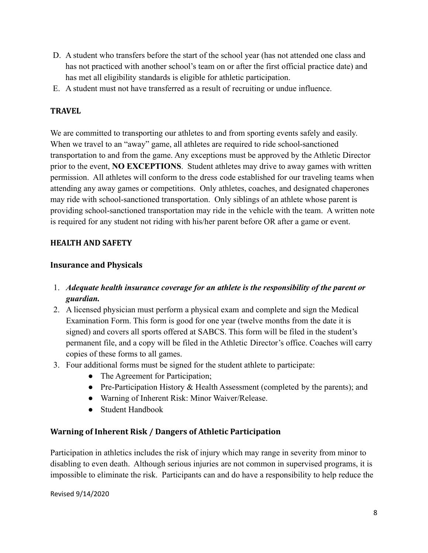- D. A student who transfers before the start of the school year (has not attended one class and has not practiced with another school's team on or after the first official practice date) and has met all eligibility standards is eligible for athletic participation.
- E. A student must not have transferred as a result of recruiting or undue influence.

### <span id="page-8-0"></span>**TRAVEL**

We are committed to transporting our athletes to and from sporting events safely and easily. When we travel to an "away" game, all athletes are required to ride school-sanctioned transportation to and from the game. Any exceptions must be approved by the Athletic Director prior to the event, **NO EXCEPTIONS**. Student athletes may drive to away games with written permission. All athletes will conform to the dress code established for our traveling teams when attending any away games or competitions. Only athletes, coaches, and designated chaperones may ride with school-sanctioned transportation. Only siblings of an athlete whose parent is providing school-sanctioned transportation may ride in the vehicle with the team. A written note is required for any student not riding with his/her parent before OR after a game or event.

### <span id="page-8-1"></span>**HEALTH AND SAFETY**

#### <span id="page-8-2"></span>**Insurance and Physicals**

- 1. *Adequate health insurance coverage for an athlete is the responsibility of the parent or guardian.*
- 2. A licensed physician must perform a physical exam and complete and sign the Medical Examination Form. This form is good for one year (twelve months from the date it is signed) and covers all sports offered at SABCS. This form will be filed in the student's permanent file, and a copy will be filed in the Athletic Director's office. Coaches will carry copies of these forms to all games.
- 3. Four additional forms must be signed for the student athlete to participate:
	- The Agreement for Participation;
	- Pre-Participation History & Health Assessment (completed by the parents); and
	- Warning of Inherent Risk: Minor Waiver/Release.
	- Student Handbook

#### <span id="page-8-3"></span>**Warning of Inherent Risk / Dangers of Athletic Participation**

Participation in athletics includes the risk of injury which may range in severity from minor to disabling to even death. Although serious injuries are not common in supervised programs, it is impossible to eliminate the risk. Participants can and do have a responsibility to help reduce the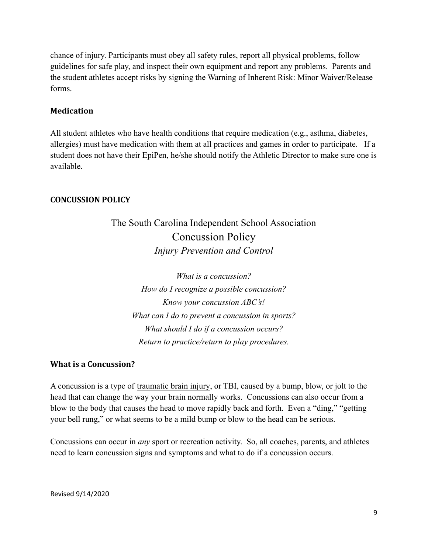chance of injury. Participants must obey all safety rules, report all physical problems, follow guidelines for safe play, and inspect their own equipment and report any problems. Parents and the student athletes accept risks by signing the Warning of Inherent Risk: Minor Waiver/Release forms.

#### <span id="page-9-0"></span>**Medication**

All student athletes who have health conditions that require medication (e.g., asthma, diabetes, allergies) must have medication with them at all practices and games in order to participate. If a student does not have their EpiPen, he/she should notify the Athletic Director to make sure one is available.

#### <span id="page-9-1"></span>**CONCUSSION POLICY**

# The South Carolina Independent School Association Concussion Policy *Injury Prevention and Control*

*What is a concussion? How do I recognize a possible concussion? Know your concussion ABC's! What can I do to prevent a concussion in sports? What should I do if a concussion occurs? Return to practice/return to play procedures.*

#### <span id="page-9-2"></span>**What is a Concussion?**

A concussion is a type of traumatic brain injury, or TBI, caused by a bump, blow, or jolt to the head that can change the way your brain normally works. Concussions can also occur from a blow to the body that causes the head to move rapidly back and forth. Even a "ding," "getting your bell rung," or what seems to be a mild bump or blow to the head can be serious.

Concussions can occur in *any* sport or recreation activity. So, all coaches, parents, and athletes need to learn concussion signs and symptoms and what to do if a concussion occurs.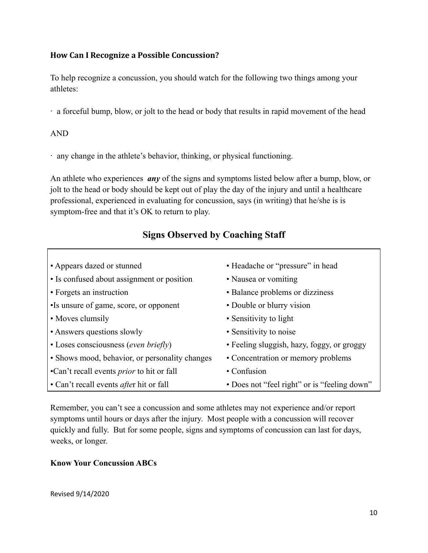#### <span id="page-10-0"></span>**How Can I Recognize a Possible Concussion?**

To help recognize a concussion, you should watch for the following two things among your athletes:

∙ a forceful bump, blow, or jolt to the head or body that results in rapid movement of the head

#### AND

∙ any change in the athlete's behavior, thinking, or physical functioning.

An athlete who experiences *any* of the signs and symptoms listed below after a bump, blow, or jolt to the head or body should be kept out of play the day of the injury and until a healthcare professional, experienced in evaluating for concussion, says (in writing) that he/she is is symptom-free and that it's OK to return to play.

# **Signs Observed by Coaching Staff**

| • Appears dazed or stunned                       | • Headache or "pressure" in head             |
|--------------------------------------------------|----------------------------------------------|
| • Is confused about assignment or position       | • Nausea or vomiting                         |
| • Forgets an instruction                         | • Balance problems or dizziness              |
| •Is unsure of game, score, or opponent           | • Double or blurry vision                    |
| • Moves clumsily                                 | • Sensitivity to light                       |
| • Answers questions slowly                       | • Sensitivity to noise                       |
| • Loses consciousness (even briefly)             | • Feeling sluggish, hazy, foggy, or groggy   |
| • Shows mood, behavior, or personality changes   | • Concentration or memory problems           |
| •Can't recall events <i>prior</i> to hit or fall | • Confusion                                  |
| • Can't recall events <i>after</i> hit or fall   | • Does not "feel right" or is "feeling down" |

Remember, you can't see a concussion and some athletes may not experience and/or report symptoms until hours or days after the injury. Most people with a concussion will recover quickly and fully. But for some people, signs and symptoms of concussion can last for days, weeks, or longer.

#### **Know Your Concussion ABCs**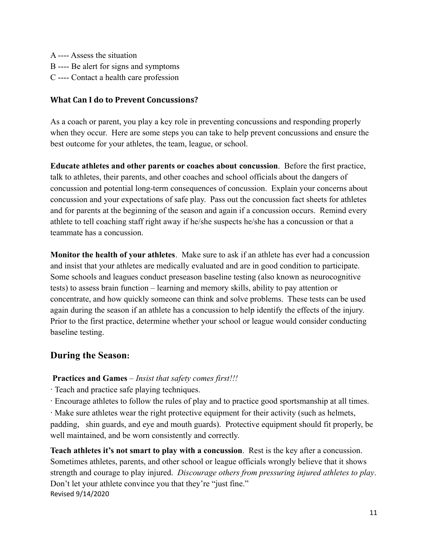A ---- Assess the situation B ---- Be alert for signs and symptoms C ---- Contact a health care profession

#### <span id="page-11-0"></span>**What Can I do to Prevent Concussions?**

As a coach or parent, you play a key role in preventing concussions and responding properly when they occur. Here are some steps you can take to help prevent concussions and ensure the best outcome for your athletes, the team, league, or school.

**Educate athletes and other parents or coaches about concussion**. Before the first practice, talk to athletes, their parents, and other coaches and school officials about the dangers of concussion and potential long-term consequences of concussion. Explain your concerns about concussion and your expectations of safe play. Pass out the concussion fact sheets for athletes and for parents at the beginning of the season and again if a concussion occurs. Remind every athlete to tell coaching staff right away if he/she suspects he/she has a concussion or that a teammate has a concussion.

**Monitor the health of your athletes**. Make sure to ask if an athlete has ever had a concussion and insist that your athletes are medically evaluated and are in good condition to participate. Some schools and leagues conduct preseason baseline testing (also known as neurocognitive tests) to assess brain function – learning and memory skills, ability to pay attention or concentrate, and how quickly someone can think and solve problems. These tests can be used again during the season if an athlete has a concussion to help identify the effects of the injury. Prior to the first practice, determine whether your school or league would consider conducting baseline testing.

# **During the Season:**

#### **Practices and Games** – *Insist that safety comes first!!!*

- ∙ Teach and practice safe playing techniques.
- ∙ Encourage athletes to follow the rules of play and to practice good sportsmanship at all times.

∙ Make sure athletes wear the right protective equipment for their activity (such as helmets, padding, shin guards, and eye and mouth guards). Protective equipment should fit properly, be well maintained, and be worn consistently and correctly.

**Teach athletes it's not smart to play with a concussion**. Rest is the key after a concussion. Sometimes athletes, parents, and other school or league officials wrongly believe that it shows strength and courage to play injured. *Discourage others from pressuring injured athletes to play*. Don't let your athlete convince you that they're "just fine." Revised 9/14/2020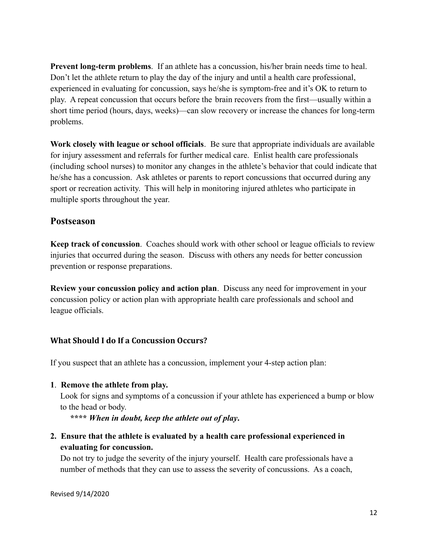**Prevent long-term problems**. If an athlete has a concussion, his/her brain needs time to heal. Don't let the athlete return to play the day of the injury and until a health care professional, experienced in evaluating for concussion, says he/she is symptom-free and it's OK to return to play. A repeat concussion that occurs before the brain recovers from the first—usually within a short time period (hours, days, weeks)—can slow recovery or increase the chances for long-term problems.

**Work closely with league or school officials**. Be sure that appropriate individuals are available for injury assessment and referrals for further medical care. Enlist health care professionals (including school nurses) to monitor any changes in the athlete's behavior that could indicate that he/she has a concussion. Ask athletes or parents to report concussions that occurred during any sport or recreation activity. This will help in monitoring injured athletes who participate in multiple sports throughout the year.

#### **Postseason**

**Keep track of concussion**. Coaches should work with other school or league officials to review injuries that occurred during the season. Discuss with others any needs for better concussion prevention or response preparations.

**Review your concussion policy and action plan**. Discuss any need for improvement in your concussion policy or action plan with appropriate health care professionals and school and league officials.

#### <span id="page-12-0"></span>**What Should I do If a Concussion Occurs?**

If you suspect that an athlete has a concussion, implement your 4-step action plan:

#### **1**. **Remove the athlete from play.**

Look for signs and symptoms of a concussion if your athlete has experienced a bump or blow to the head or body.

**\*\*\*\*** *When in doubt, keep the athlete out of play***.**

**2. Ensure that the athlete is evaluated by a health care professional experienced in evaluating for concussion.**

Do not try to judge the severity of the injury yourself. Health care professionals have a number of methods that they can use to assess the severity of concussions. As a coach,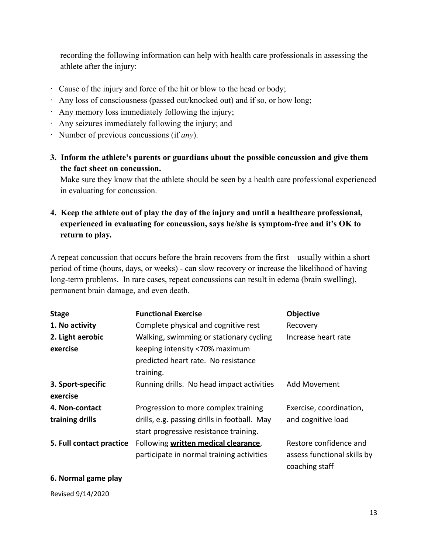recording the following information can help with health care professionals in assessing the athlete after the injury:

- ∙ Cause of the injury and force of the hit or blow to the head or body;
- ∙ Any loss of consciousness (passed out/knocked out) and if so, or how long;
- ∙ Any memory loss immediately following the injury;
- ∙ Any seizures immediately following the injury; and
- ∙ Number of previous concussions (if *any*).
- **3. Inform the athlete's parents or guardians about the possible concussion and give them the fact sheet on concussion.**

Make sure they know that the athlete should be seen by a health care professional experienced in evaluating for concussion.

**4. Keep the athlete out of play the day of the injury and until a healthcare professional, experienced in evaluating for concussion, says he/she is symptom-free and it's OK to return to play.**

A repeat concussion that occurs before the brain recovers from the first – usually within a short period of time (hours, days, or weeks) - can slow recovery or increase the likelihood of having long-term problems. In rare cases, repeat concussions can result in edema (brain swelling), permanent brain damage, and even death.

| <b>Stage</b>                  | <b>Functional Exercise</b>                                                                                                    | <b>Objective</b>                                                        |
|-------------------------------|-------------------------------------------------------------------------------------------------------------------------------|-------------------------------------------------------------------------|
| 1. No activity                | Complete physical and cognitive rest                                                                                          | Recovery                                                                |
| 2. Light aerobic<br>exercise  | Walking, swimming or stationary cycling<br>keeping intensity <70% maximum<br>predicted heart rate. No resistance<br>training. | Increase heart rate                                                     |
| 3. Sport-specific<br>exercise | Running drills. No head impact activities                                                                                     | Add Movement                                                            |
| 4. Non-contact                | Progression to more complex training                                                                                          | Exercise, coordination,                                                 |
| training drills               | drills, e.g. passing drills in football. May<br>start progressive resistance training.                                        | and cognitive load                                                      |
| 5. Full contact practice      | Following written medical clearance,<br>participate in normal training activities                                             | Restore confidence and<br>assess functional skills by<br>coaching staff |

#### **6. Normal game play**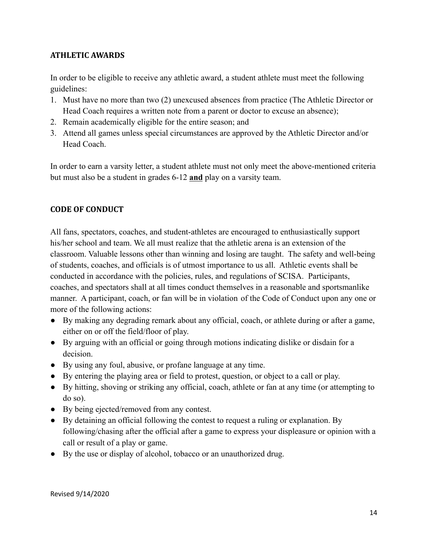#### **ATHLETIC AWARDS**

In order to be eligible to receive any athletic award, a student athlete must meet the following guidelines:

- 1. Must have no more than two (2) unexcused absences from practice (The Athletic Director or Head Coach requires a written note from a parent or doctor to excuse an absence);
- 2. Remain academically eligible for the entire season; and
- 3. Attend all games unless special circumstances are approved by the Athletic Director and/or Head Coach.

In order to earn a varsity letter, a student athlete must not only meet the above-mentioned criteria but must also be a student in grades 6-12 **and** play on a varsity team.

# <span id="page-14-0"></span>**CODE OF CONDUCT**

All fans, spectators, coaches, and student-athletes are encouraged to enthusiastically support his/her school and team. We all must realize that the athletic arena is an extension of the classroom. Valuable lessons other than winning and losing are taught. The safety and well-being of students, coaches, and officials is of utmost importance to us all. Athletic events shall be conducted in accordance with the policies, rules, and regulations of SCISA. Participants, coaches, and spectators shall at all times conduct themselves in a reasonable and sportsmanlike manner. A participant, coach, or fan will be in violation of the Code of Conduct upon any one or more of the following actions:

- By making any degrading remark about any official, coach, or athlete during or after a game, either on or off the field/floor of play.
- By arguing with an official or going through motions indicating dislike or disdain for a decision.
- By using any foul, abusive, or profane language at any time.
- By entering the playing area or field to protest, question, or object to a call or play.
- By hitting, shoving or striking any official, coach, athlete or fan at any time (or attempting to do so).
- By being ejected/removed from any contest.
- By detaining an official following the contest to request a ruling or explanation. By following/chasing after the official after a game to express your displeasure or opinion with a call or result of a play or game.
- By the use or display of alcohol, tobacco or an unauthorized drug.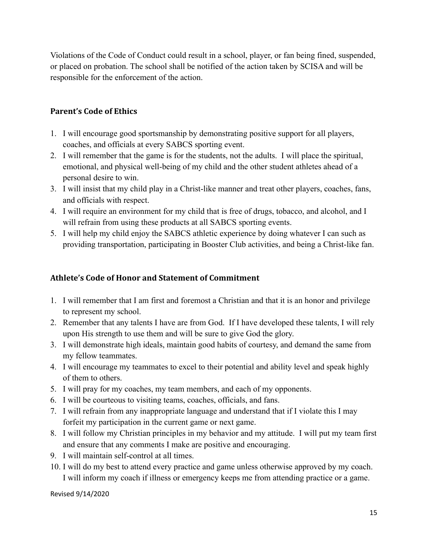Violations of the Code of Conduct could result in a school, player, or fan being fined, suspended, or placed on probation. The school shall be notified of the action taken by SCISA and will be responsible for the enforcement of the action.

# <span id="page-15-0"></span>**Parent's Code of Ethics**

- 1. I will encourage good sportsmanship by demonstrating positive support for all players, coaches, and officials at every SABCS sporting event.
- 2. I will remember that the game is for the students, not the adults. I will place the spiritual, emotional, and physical well-being of my child and the other student athletes ahead of a personal desire to win.
- 3. I will insist that my child play in a Christ-like manner and treat other players, coaches, fans, and officials with respect.
- 4. I will require an environment for my child that is free of drugs, tobacco, and alcohol, and I will refrain from using these products at all SABCS sporting events.
- <span id="page-15-1"></span>5. I will help my child enjoy the SABCS athletic experience by doing whatever I can such as providing transportation, participating in Booster Club activities, and being a Christ-like fan.

# **Athlete's Code of Honor and Statement of Commitment**

- 1. I will remember that I am first and foremost a Christian and that it is an honor and privilege to represent my school.
- 2. Remember that any talents I have are from God. If I have developed these talents, I will rely upon His strength to use them and will be sure to give God the glory.
- 3. I will demonstrate high ideals, maintain good habits of courtesy, and demand the same from my fellow teammates.
- 4. I will encourage my teammates to excel to their potential and ability level and speak highly of them to others.
- 5. I will pray for my coaches, my team members, and each of my opponents.
- 6. I will be courteous to visiting teams, coaches, officials, and fans.
- 7. I will refrain from any inappropriate language and understand that if I violate this I may forfeit my participation in the current game or next game.
- 8. I will follow my Christian principles in my behavior and my attitude. I will put my team first and ensure that any comments I make are positive and encouraging.
- 9. I will maintain self-control at all times.
- 10. I will do my best to attend every practice and game unless otherwise approved by my coach. I will inform my coach if illness or emergency keeps me from attending practice or a game.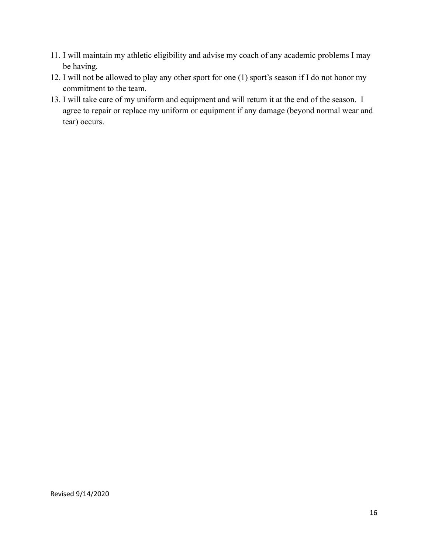- 11. I will maintain my athletic eligibility and advise my coach of any academic problems I may be having.
- 12. I will not be allowed to play any other sport for one (1) sport's season if I do not honor my commitment to the team.
- 13. I will take care of my uniform and equipment and will return it at the end of the season. I agree to repair or replace my uniform or equipment if any damage (beyond normal wear and tear) occurs.